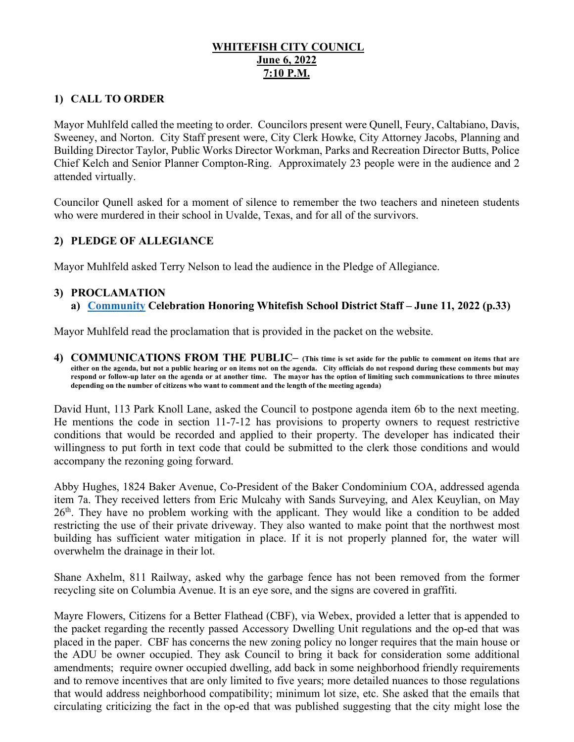# **WHITEFISH CITY COUNICL June 6, 2022 7:10 P.M.**

# **1) CALL TO ORDER**

Mayor Muhlfeld called the meeting to order. Councilors present were Qunell, Feury, Caltabiano, Davis, Sweeney, and Norton. City Staff present were, City Clerk Howke, City Attorney Jacobs, Planning and Building Director Taylor, Public Works Director Workman, Parks and Recreation Director Butts, Police Chief Kelch and Senior Planner Compton-Ring. Approximately 23 people were in the audience and 2 attended virtually.

Councilor Qunell asked for a moment of silence to remember the two teachers and nineteen students who were murdered in their school in Uvalde, Texas, and for all of the survivors.

# **2) PLEDGE OF ALLEGIANCE**

Mayor Muhlfeld asked Terry Nelson to lead the audience in the Pledge of Allegiance.

#### **3) PROCLAMATION**

**a) [Community](https://cityofwhitefishmt.sharepoint.com/:b:/g/documents/Ec-9DquRViJAhBZ0i1SQCgABjGTrXlo45vvwEFjpbHikzg?e=NjQQxU) Celebration Honoring Whitefish School District Staff – June 11, 2022 (p.33)**

Mayor Muhlfeld read the proclamation that is provided in the packet on the website.

**4) COMMUNICATIONS FROM THE PUBLIC– (This time is set aside for the public to comment on items that are either on the agenda, but not a public hearing or on items not on the agenda. City officials do not respond during these comments but may respond or follow-up later on the agenda or at another time. The mayor has the option of limiting such communications to three minutes depending on the number of citizens who want to comment and the length of the meeting agenda)** 

David Hunt, 113 Park Knoll Lane, asked the Council to postpone agenda item 6b to the next meeting. He mentions the code in section 11-7-12 has provisions to property owners to request restrictive conditions that would be recorded and applied to their property. The developer has indicated their willingness to put forth in text code that could be submitted to the clerk those conditions and would accompany the rezoning going forward.

Abby Hughes, 1824 Baker Avenue, Co-President of the Baker Condominium COA, addressed agenda item 7a. They received letters from Eric Mulcahy with Sands Surveying, and Alex Keuylian, on May  $26<sup>th</sup>$ . They have no problem working with the applicant. They would like a condition to be added restricting the use of their private driveway. They also wanted to make point that the northwest most building has sufficient water mitigation in place. If it is not properly planned for, the water will overwhelm the drainage in their lot.

Shane Axhelm, 811 Railway, asked why the garbage fence has not been removed from the former recycling site on Columbia Avenue. It is an eye sore, and the signs are covered in graffiti.

Mayre Flowers, Citizens for a Better Flathead (CBF), via Webex, provided a letter that is appended to the packet regarding the recently passed Accessory Dwelling Unit regulations and the op-ed that was placed in the paper. CBF has concerns the new zoning policy no longer requires that the main house or the ADU be owner occupied. They ask Council to bring it back for consideration some additional amendments; require owner occupied dwelling, add back in some neighborhood friendly requirements and to remove incentives that are only limited to five years; more detailed nuances to those regulations that would address neighborhood compatibility; minimum lot size, etc. She asked that the emails that circulating criticizing the fact in the op-ed that was published suggesting that the city might lose the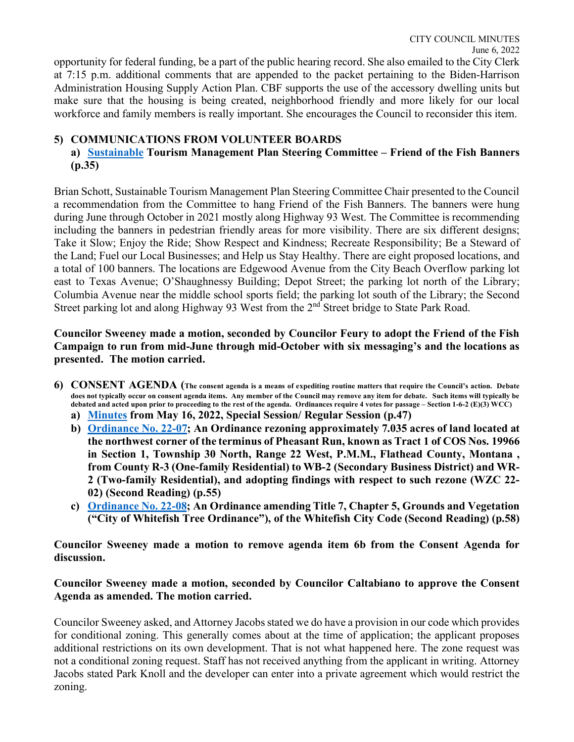opportunity for federal funding, be a part of the public hearing record. She also emailed to the City Clerk at 7:15 p.m. additional comments that are appended to the packet pertaining to the Biden-Harrison Administration Housing Supply Action Plan. CBF supports the use of the accessory dwelling units but make sure that the housing is being created, neighborhood friendly and more likely for our local workforce and family members is really important. She encourages the Council to reconsider this item.

# **5) COMMUNICATIONS FROM VOLUNTEER BOARDS**

# **a) [Sustainable](https://cityofwhitefishmt.sharepoint.com/:b:/g/documents/ERwaRo1eEFtLg7_qZWcHcQwB0mxVrGR7ofDM_iBvN5Pvcg?e=g8tIjT) Tourism Management Plan Steering Committee – Friend of the Fish Banners (p.35)**

Brian Schott, Sustainable Tourism Management Plan Steering Committee Chair presented to the Council a recommendation from the Committee to hang Friend of the Fish Banners. The banners were hung during June through October in 2021 mostly along Highway 93 West. The Committee is recommending including the banners in pedestrian friendly areas for more visibility. There are six different designs; Take it Slow; Enjoy the Ride; Show Respect and Kindness; Recreate Responsibility; Be a Steward of the Land; Fuel our Local Businesses; and Help us Stay Healthy. There are eight proposed locations, and a total of 100 banners. The locations are Edgewood Avenue from the City Beach Overflow parking lot east to Texas Avenue; O'Shaughnessy Building; Depot Street; the parking lot north of the Library; Columbia Avenue near the middle school sports field; the parking lot south of the Library; the Second Street parking lot and along Highway 93 West from the 2<sup>nd</sup> Street bridge to State Park Road.

### **Councilor Sweeney made a motion, seconded by Councilor Feury to adopt the Friend of the Fish Campaign to run from mid-June through mid-October with six messaging's and the locations as presented. The motion carried.**

- **6) CONSENT AGENDA (The consent agenda is a means of expediting routine matters that require the Council's action. Debate does not typically occur on consent agenda items. Any member of the Council may remove any item for debate. Such items will typically be debated and acted upon prior to proceeding to the rest of the agenda. Ordinances require 4 votes for passage – Section 1-6-2 (E)(3) WCC)**
	- **a) [Minutes](https://cityofwhitefishmt.sharepoint.com/:b:/g/documents/EW4StAIdnJFDkQ1VhuTZKyAB2WkzuNsx9T9DFVHeovOQcw?e=CK7a7F) from May 16, 2022, Special Session/ Regular Session (p.47)**
	- **b) [Ordinance No. 22-07;](https://cityofwhitefishmt.sharepoint.com/:b:/g/documents/ES3fmXO4E_pDrxpyzM554_ABK7YUJdQMYVI-u5A3zY4eBQ?e=oRfHp5) An Ordinance rezoning approximately 7.035 acres of land located at the northwest corner of the terminus of Pheasant Run, known as Tract 1 of COS Nos. 19966 in Section 1, Township 30 North, Range 22 West, P.M.M., Flathead County, Montana , from County R-3 (One-family Residential) to WB-2 (Secondary Business District) and WR-2 (Two-family Residential), and adopting findings with respect to such rezone (WZC 22- 02) (Second Reading) (p.55)**
	- **c) [Ordinance No. 22-08;](https://cityofwhitefishmt.sharepoint.com/:b:/g/documents/EdqMOPfz3M9It1Zh_BzYluwBeVftml5op1h3aLtBHzH7JQ?e=0tnrlo) An Ordinance amending Title 7, Chapter 5, Grounds and Vegetation ("City of Whitefish Tree Ordinance"), of the Whitefish City Code (Second Reading) (p.58)**

**Councilor Sweeney made a motion to remove agenda item 6b from the Consent Agenda for discussion.** 

### **Councilor Sweeney made a motion, seconded by Councilor Caltabiano to approve the Consent Agenda as amended. The motion carried.**

Councilor Sweeney asked, and Attorney Jacobs stated we do have a provision in our code which provides for conditional zoning. This generally comes about at the time of application; the applicant proposes additional restrictions on its own development. That is not what happened here. The zone request was not a conditional zoning request. Staff has not received anything from the applicant in writing. Attorney Jacobs stated Park Knoll and the developer can enter into a private agreement which would restrict the zoning.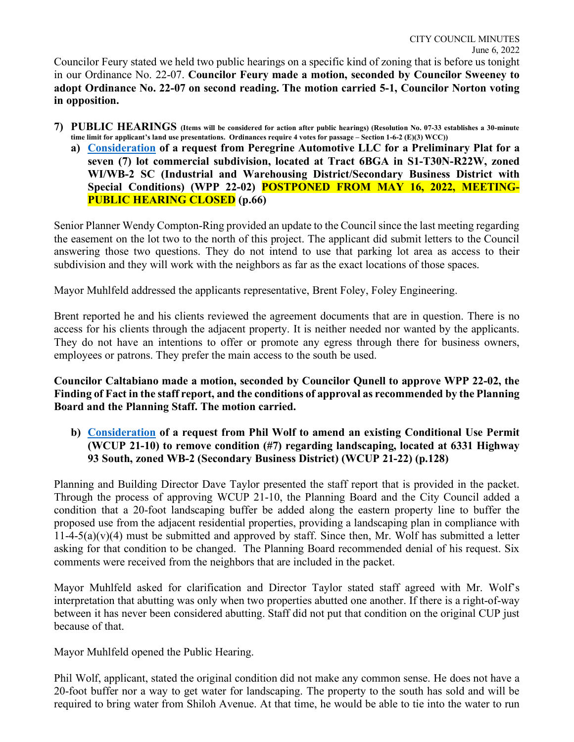Councilor Feury stated we held two public hearings on a specific kind of zoning that is before us tonight in our Ordinance No. 22-07. **Councilor Feury made a motion, seconded by Councilor Sweeney to adopt Ordinance No. 22-07 on second reading. The motion carried 5-1, Councilor Norton voting in opposition.** 

- **7) PUBLIC HEARINGS (Items will be considered for action after public hearings) (Resolution No. 07-33 establishes a 30-minute time limit for applicant's land use presentations. Ordinances require 4 votes for passage – Section 1-6-2 (E)(3) WCC))**
	- **a) [Consideration](https://cityofwhitefishmt.sharepoint.com/:b:/g/documents/EWMNESk1VwxCsBKFkBFyTsYBFO-wyrAllIiDp1GhcS82Iw?e=aLEngE) of a request from Peregrine Automotive LLC for a Preliminary Plat for a seven (7) lot commercial subdivision, located at Tract 6BGA in S1-T30N-R22W, zoned WI/WB-2 SC (Industrial and Warehousing District/Secondary Business District with Special Conditions) (WPP 22-02) POSTPONED FROM MAY 16, 2022, MEETING-PUBLIC HEARING CLOSED (p.66)**

Senior Planner Wendy Compton-Ring provided an update to the Council since the last meeting regarding the easement on the lot two to the north of this project. The applicant did submit letters to the Council answering those two questions. They do not intend to use that parking lot area as access to their subdivision and they will work with the neighbors as far as the exact locations of those spaces.

Mayor Muhlfeld addressed the applicants representative, Brent Foley, Foley Engineering.

Brent reported he and his clients reviewed the agreement documents that are in question. There is no access for his clients through the adjacent property. It is neither needed nor wanted by the applicants. They do not have an intentions to offer or promote any egress through there for business owners, employees or patrons. They prefer the main access to the south be used.

**Councilor Caltabiano made a motion, seconded by Councilor Qunell to approve WPP 22-02, the Finding of Fact in the staff report, and the conditions of approval as recommended by the Planning Board and the Planning Staff. The motion carried.** 

# **b) [Consideration](https://cityofwhitefishmt.sharepoint.com/:b:/g/documents/EY1D1yuxTfBPrfp_MCweeO4B07oA-VYU6XIorxI6jjWigA?e=X6FYza) of a request from Phil Wolf to amend an existing Conditional Use Permit (WCUP 21-10) to remove condition (#7) regarding landscaping, located at 6331 Highway 93 South, zoned WB-2 (Secondary Business District) (WCUP 21-22) (p.128)**

Planning and Building Director Dave Taylor presented the staff report that is provided in the packet. Through the process of approving WCUP 21-10, the Planning Board and the City Council added a condition that a 20-foot landscaping buffer be added along the eastern property line to buffer the proposed use from the adjacent residential properties, providing a landscaping plan in compliance with  $11-4-5(a)(v)(4)$  must be submitted and approved by staff. Since then, Mr. Wolf has submitted a letter asking for that condition to be changed. The Planning Board recommended denial of his request. Six comments were received from the neighbors that are included in the packet.

Mayor Muhlfeld asked for clarification and Director Taylor stated staff agreed with Mr. Wolf's interpretation that abutting was only when two properties abutted one another. If there is a right-of-way between it has never been considered abutting. Staff did not put that condition on the original CUP just because of that.

Mayor Muhlfeld opened the Public Hearing.

Phil Wolf, applicant, stated the original condition did not make any common sense. He does not have a 20-foot buffer nor a way to get water for landscaping. The property to the south has sold and will be required to bring water from Shiloh Avenue. At that time, he would be able to tie into the water to run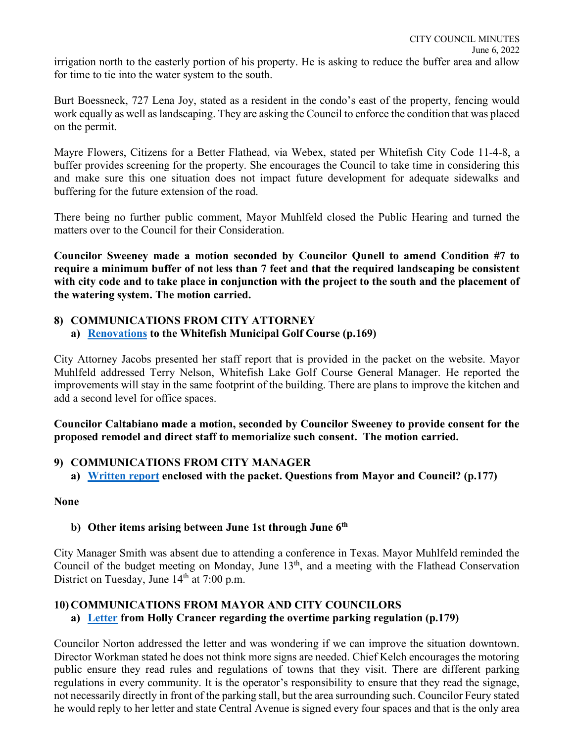irrigation north to the easterly portion of his property. He is asking to reduce the buffer area and allow for time to tie into the water system to the south.

Burt Boessneck, 727 Lena Joy, stated as a resident in the condo's east of the property, fencing would work equally as well as landscaping. They are asking the Council to enforce the condition that was placed on the permit.

Mayre Flowers, Citizens for a Better Flathead, via Webex, stated per Whitefish City Code 11-4-8, a buffer provides screening for the property. She encourages the Council to take time in considering this and make sure this one situation does not impact future development for adequate sidewalks and buffering for the future extension of the road.

There being no further public comment, Mayor Muhlfeld closed the Public Hearing and turned the matters over to the Council for their Consideration.

**Councilor Sweeney made a motion seconded by Councilor Qunell to amend Condition #7 to require a minimum buffer of not less than 7 feet and that the required landscaping be consistent with city code and to take place in conjunction with the project to the south and the placement of the watering system. The motion carried.** 

# **8) COMMUNICATIONS FROM CITY ATTORNEY**

# **a) [Renovations](https://cityofwhitefishmt.sharepoint.com/:b:/g/documents/EecGIDk72cVKtVfnP4A8JSsBw96hk2uQERUB7yi89FcaXQ?e=FXFFmC) to the Whitefish Municipal Golf Course (p.169)**

City Attorney Jacobs presented her staff report that is provided in the packet on the website. Mayor Muhlfeld addressed Terry Nelson, Whitefish Lake Golf Course General Manager. He reported the improvements will stay in the same footprint of the building. There are plans to improve the kitchen and add a second level for office spaces.

**Councilor Caltabiano made a motion, seconded by Councilor Sweeney to provide consent for the proposed remodel and direct staff to memorialize such consent. The motion carried.** 

# **9) COMMUNICATIONS FROM CITY MANAGER**

**a) [Written report](https://cityofwhitefishmt.sharepoint.com/:b:/g/documents/ER5vLgyy94NOvrazkI56FfgBElnvsjfmjMJdqFHND6UhnQ?e=jn65La) enclosed with the packet. Questions from Mayor and Council? (p.177)**

#### **None**

# **b)** Other items arising between June 1st through June 6<sup>th</sup>

City Manager Smith was absent due to attending a conference in Texas. Mayor Muhlfeld reminded the Council of the budget meeting on Monday, June 13<sup>th</sup>, and a meeting with the Flathead Conservation District on Tuesday, June  $14<sup>th</sup>$  at 7:00 p.m.

#### **10) COMMUNICATIONS FROM MAYOR AND CITY COUNCILORS a) [Letter](https://cityofwhitefishmt.sharepoint.com/:b:/g/documents/Eazu4dt9-EVIoHvtANljmUIB_fPPn-9mLuXwMkKyaICeqQ?e=QSEL5s) from Holly Crancer regarding the overtime parking regulation (p.179)**

Councilor Norton addressed the letter and was wondering if we can improve the situation downtown. Director Workman stated he does not think more signs are needed. Chief Kelch encourages the motoring public ensure they read rules and regulations of towns that they visit. There are different parking regulations in every community. It is the operator's responsibility to ensure that they read the signage, not necessarily directly in front of the parking stall, but the area surrounding such. Councilor Feury stated he would reply to her letter and state Central Avenue is signed every four spaces and that is the only area